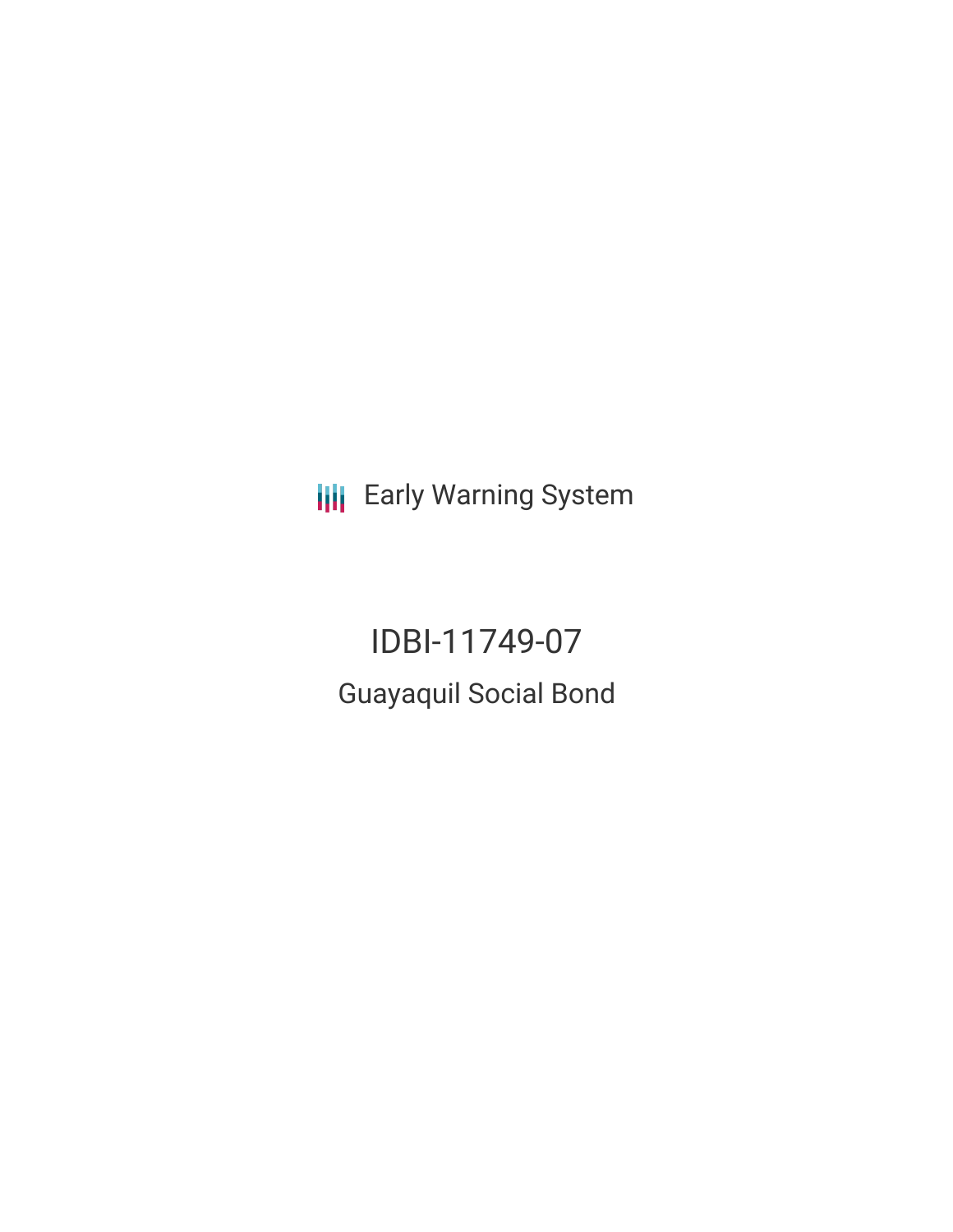**III** Early Warning System

IDBI-11749-07 Guayaquil Social Bond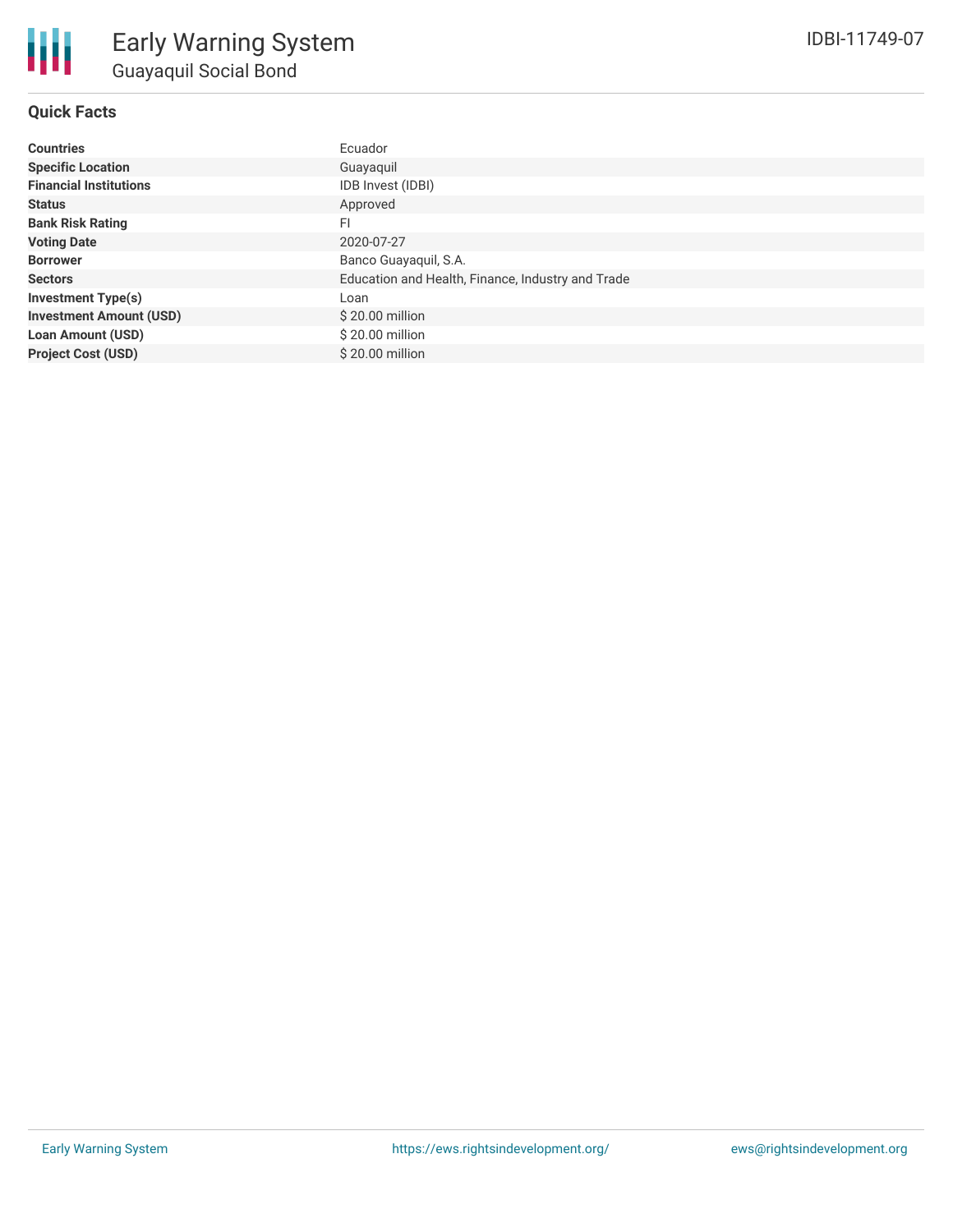**Project Cost (USD)** \$ 20.00 million

# **Quick Facts**

| <b>Countries</b>               | Ecuador                                           |
|--------------------------------|---------------------------------------------------|
| <b>Specific Location</b>       | Guayaquil                                         |
| <b>Financial Institutions</b>  | IDB Invest (IDBI)                                 |
| <b>Status</b>                  | Approved                                          |
| <b>Bank Risk Rating</b>        | FI                                                |
| <b>Voting Date</b>             | 2020-07-27                                        |
| <b>Borrower</b>                | Banco Guayaquil, S.A.                             |
| <b>Sectors</b>                 | Education and Health, Finance, Industry and Trade |
| <b>Investment Type(s)</b>      | Loan                                              |
| <b>Investment Amount (USD)</b> | \$20.00 million                                   |
| <b>Loan Amount (USD)</b>       | \$20.00 million                                   |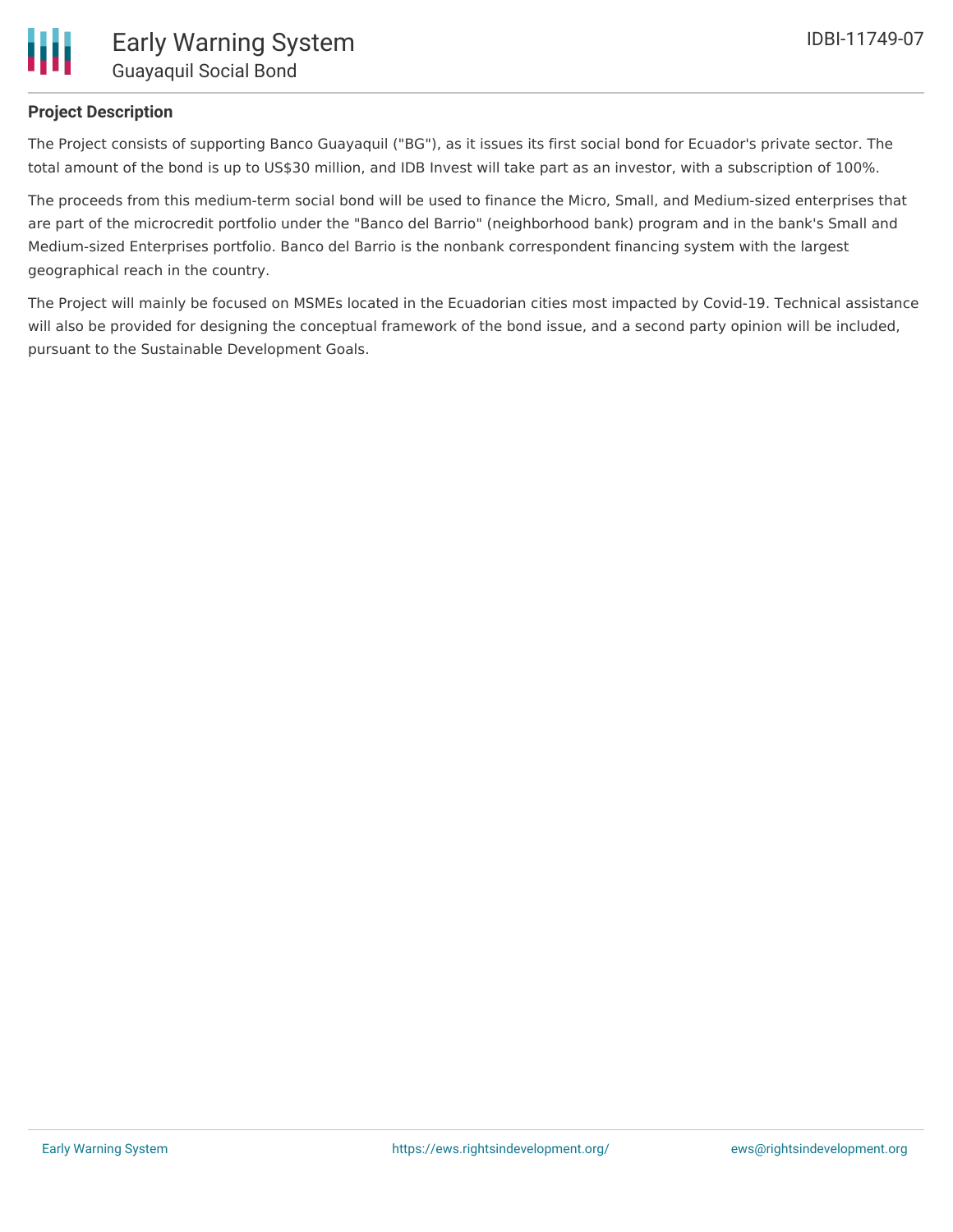### **Project Description**

The Project consists of supporting Banco Guayaquil ("BG"), as it issues its first social bond for Ecuador's private sector. The total amount of the bond is up to US\$30 million, and IDB Invest will take part as an investor, with a subscription of 100%.

The proceeds from this medium-term social bond will be used to finance the Micro, Small, and Medium-sized enterprises that are part of the microcredit portfolio under the "Banco del Barrio" (neighborhood bank) program and in the bank's Small and Medium-sized Enterprises portfolio. Banco del Barrio is the nonbank correspondent financing system with the largest geographical reach in the country.

The Project will mainly be focused on MSMEs located in the Ecuadorian cities most impacted by Covid-19. Technical assistance will also be provided for designing the conceptual framework of the bond issue, and a second party opinion will be included, pursuant to the Sustainable Development Goals.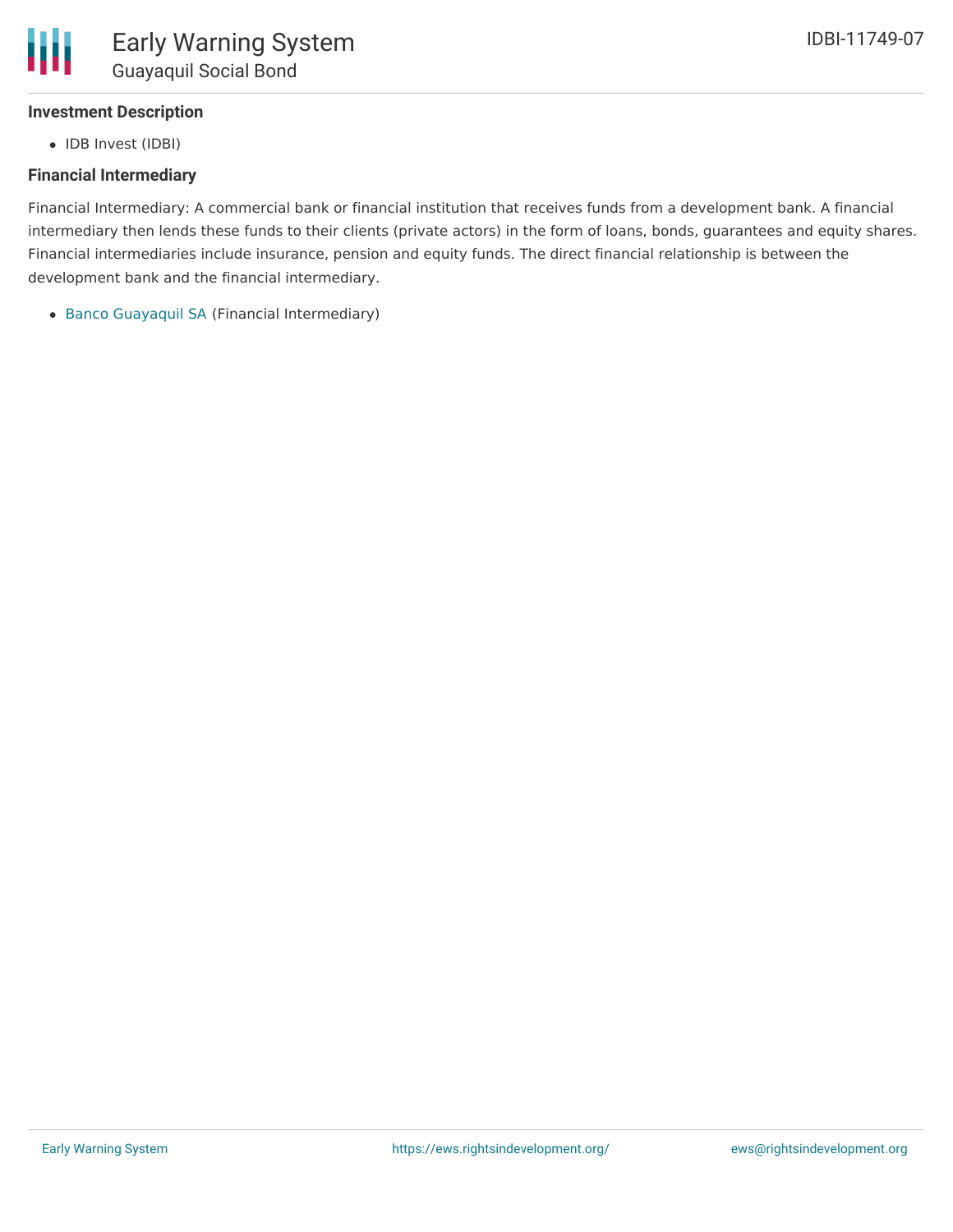

# **Investment Description**

• IDB Invest (IDBI)

### **Financial Intermediary**

Financial Intermediary: A commercial bank or financial institution that receives funds from a development bank. A financial intermediary then lends these funds to their clients (private actors) in the form of loans, bonds, guarantees and equity shares. Financial intermediaries include insurance, pension and equity funds. The direct financial relationship is between the development bank and the financial intermediary.

Banco [Guayaquil](file:///actor/2239/) SA (Financial Intermediary)